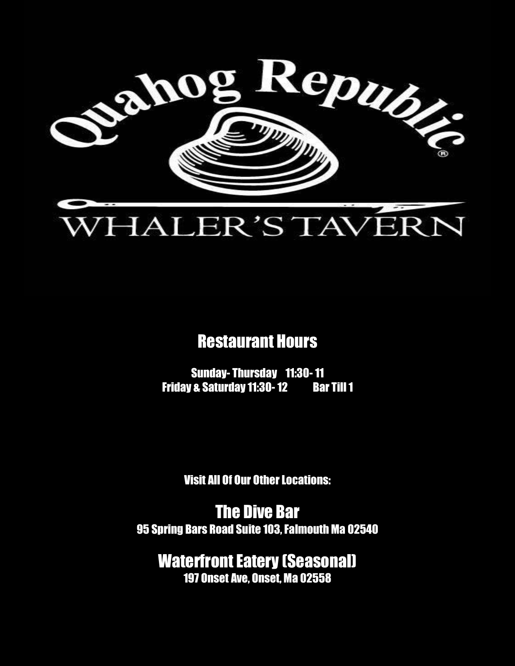

# Restaurant Hours

Sunday- Thursday 11:30-11 Friday & Saturday 11:30-12 Bar Till 1

Visit All Of Our Other Locations:

The Dive Bar 95 Spring Bars Road Suite 103, Falmouth Ma 02540

Waterfront Eatery (Seasonal) 197 Onset Ave, Onset, Ma 02558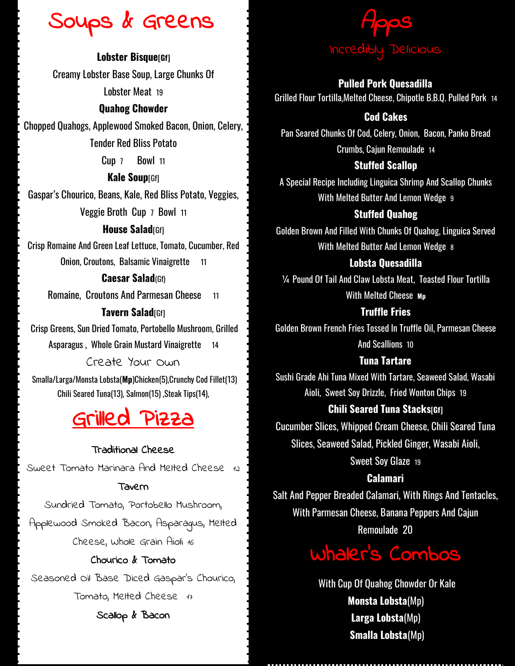# Soups & Greens

**Lobster Bisque[Gf]** Creamy Lobster Base Soup, Large Chunks Of Lobster Meat 19

#### **Quahog Chowder**

Chopped Quahogs, Applewood Smoked Bacon, Onion, Celery, Tender Red Bliss Potato

Cup 7 Bowl 11

**Kale Soup**[Gf] Gaspar's Chourico, Beans, Kale, Red Bliss Potato, Veggies, Veggie Broth Cup 7 Bowl 11

### **House Salad**[Gf]

Crisp Romaine And Green Leaf Lettuce, Tomato, Cucumber, Red Onion, Croutons, Balsamic Vinaigrette 11

### **Caesar Salad**(Gf)

Romaine, Croutons And Parmesan Cheese 11

### **Tavern Salad**[Gf]

Crisp Greens, Sun Dried Tomato, Portobello Mushroom, Grilled Asparagus , Whole Grain Mustard Vinaigrette 14

Create Your Own Smalla/Larga/Monsta Lobsta(**Mp**)Chicken(5),Crunchy Cod Fillet(13) Chili Seared Tuna(13), Salmon(15) ,Steak Tips(14),

# Grilled Pizza

#### Traditional Cheese

Sweet Tomato Marinara And Melted Cheese 12

#### Tavern

Sundried Tomato, Portobello Mushroom, Applewood Smoked Bacon, Asparagus, Melted Cheese, Whole Grain Aioli 16

# Chourico & Tomato

Seasoned Oil Base Diced Gaspar's Chourico, Tomato, Melted Cheese 17

# Scallop & Bacon



#### **Pulled Pork Quesadilla**

Grilled Flour Tortilla,Melted Cheese, Chipotle B.B.Q. Pulled Pork <sup>14</sup>

# **Cod Cakes**

Pan Seared Chunks Of Cod, Celery, Onion, Bacon, Panko Bread Crumbs, Cajun Remoulade 14

#### **Stuffed Scallop**

A Special Recipe Including Linguica Shrimp And Scallop Chunks With Melted Butter And Lemon Wedge 9

# **Stuffed Quahog**

Golden Brown And Filled With Chunks Of Quahog, Linguica Served With Melted Butter And Lemon Wedge 8

#### **Lobsta Quesadilla**

¼ Pound Of Tail And Claw Lobsta Meat, Toasted Flour Tortilla With Melted Cheese **Mp** 

### **Truffle Fries**

Golden Brown French Fries Tossed In Truffle Oil, Parmesan Cheese And Scallions 10

#### **Tuna Tartare**

Sushi Grade Ahi Tuna Mixed With Tartare, Seaweed Salad, Wasabi Aioli, Sweet Soy Drizzle, Fried Wonton Chips 19

#### **Chili Seared Tuna Stacks[Gf]**

Cucumber Slices, Whipped Cream Cheese, Chili Seared Tuna Slices, Seaweed Salad, Pickled Ginger, Wasabi Aioli,

Sweet Soy Glaze 19

# **Calamari**

Salt And Pepper Breaded Calamari, With Rings And Tentacles, With Parmesan Cheese, Banana Peppers And Cajun Remoulade 20



With Cup Of Quahog Chowder Or Kale **Monsta Lobsta**(Mp) **Larga Lobsta**(Mp) **Smalla Lobsta**(Mp)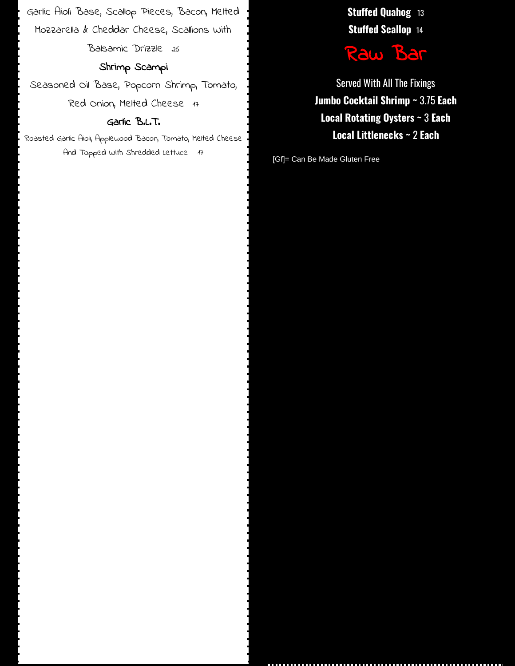Garlic Aioli Base, Scallop Pieces, Bacon, Melted Mozzarella  $k$  Cheddar Cheese, Scallions with Balsamic Drizzle 26

# Shrimp Scampi

Seasoned Oil Base, Popcorn Shrimp, Tomato, Red Onion, Melted Cheese 17

#### Garlic B.L.T.

Roasted Garlic Aioli, Applewood Bacon, Tomato, Melted Cheese And Topped With Shredded Lettuce 17

**Stuffed Quahog** 13 **Stuffed Scallop** 14



Served With All The Fixings **Jumbo Cocktail Shrimp ~** 3.75 **Each Local Rotating Oysters ~** 3 **Each Local Littlenecks ~** 2 **Each**

[Gf]= Can Be Made Gluten Free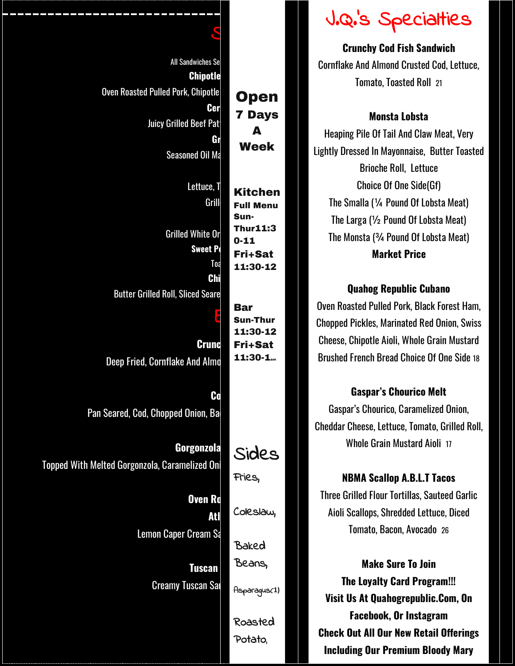|                                                |                                    | J.Q.'s Specialties                                 |
|------------------------------------------------|------------------------------------|----------------------------------------------------|
|                                                |                                    | <b>Crunchy Cod Fish Sandwich</b>                   |
| <b>All Sandwiches Se</b>                       |                                    | <b>Cornflake And Almond Crusted Cod, Lettud</b>    |
| <b>Chipotle</b>                                |                                    | Tomato, Toasted Roll 21                            |
| <b>Oven Roasted Pulled Pork, Chipotle</b>      | <b>Open</b>                        |                                                    |
| Cer                                            | <b>7 Days</b>                      | <b>Monsta Lobsta</b>                               |
| <b>Juicy Grilled Beef Pat</b>                  | A                                  | Heaping Pile Of Tail And Claw Meat, Very           |
| Gr<br><b>Seasoned Oil Ma</b>                   | <b>Week</b>                        | Lightly Dressed In Mayonnaise, Butter Toas         |
|                                                |                                    | <b>Brioche Roll, Lettuce</b>                       |
| Lettuce, T                                     |                                    | <b>Choice Of One Side(Gf)</b>                      |
| Grill                                          | <b>Kitchen</b><br><b>Full Menu</b> | The Smalla (1/4 Pound Of Lobsta Meat)              |
|                                                | Sun-                               | The Larga $(\frac{1}{2}$ Pound Of Lobsta Meat)     |
| <b>Grilled White Or</b>                        | <b>Thur11:3</b>                    | The Monsta (3/4 Pound Of Lobsta Meat)              |
| <b>Sweet Po</b>                                | $0 - 11$<br><b>Fri+Sat</b>         | <b>Market Price</b>                                |
| Toa                                            | 11:30-12                           |                                                    |
| <b>Chi</b>                                     |                                    | <b>Quahog Republic Cubano</b>                      |
| <b>Butter Grilled Roll, Sliced Seare</b>       |                                    | Oven Roasted Pulled Pork, Black Forest Ha          |
|                                                | <b>Bar</b><br><b>Sun-Thur</b>      |                                                    |
|                                                | 11:30-12                           | <b>Chopped Pickles, Marinated Red Onion, Sw</b>    |
| <b>Crund</b>                                   | <b>Fri+Sat</b>                     | <b>Cheese, Chipotle Aioli, Whole Grain Musta</b>   |
| Deep Fried, Cornflake And Almo                 | $11:30-1$ <sub>am</sub>            | <b>Brushed French Bread Choice Of One Side</b>     |
|                                                |                                    | <b>Gaspar's Chourico Melt</b>                      |
| $\mathbf{G}$                                   |                                    | Gaspar's Chourico, Caramelized Onion,              |
| Pan Seared, Cod, Chopped Onion, Ba             |                                    | <b>Cheddar Cheese, Lettuce, Tomato, Grilled R</b>  |
|                                                |                                    | <b>Whole Grain Mustard Aioli 17</b>                |
| Gorgonzola                                     | Sides                              |                                                    |
| Topped With Melted Gorgonzola, Caramelized Oni | Fries,                             |                                                    |
|                                                |                                    | <b>NBMA Scallop A.B.L.T Tacos</b>                  |
| <b>Oven Ro</b>                                 | Coleslaw,                          | <b>Three Grilled Flour Tortillas, Sauteed Garl</b> |
| <b>Atl</b>                                     |                                    | Aioli Scallops, Shredded Lettuce, Diced            |
| <b>Lemon Caper Cream Sa</b>                    | Baked                              | Tomato, Bacon, Avocado 26                          |
|                                                | Beans,                             | <b>Make Sure To Join</b>                           |
| <b>Tuscan</b>                                  |                                    | <b>The Loyalty Card Program!!!</b>                 |
| <b>Creamy Tuscan Sar</b>                       | Asparagus(1)                       | Visit Us At Quahogrepublic.Com, On                 |
|                                                |                                    | <b>Facebook, Or Instagram</b>                      |
|                                                | Roasted                            | <b>Check Out All Our New Retail Offering</b>       |
|                                                | Potato,                            |                                                    |

# J.Q.'s Specialties

#### **Monsta Lobsta**

# **Quahog Republic Cubano**

Oven Roasted Pulled Pork, Black Forest Ham, Chopped Pickles, Marinated Red Onion, Swiss Cheese, Chipotle Aioli, Whole Grain Mustard Brushed French Bread Choice Of One Side 18

# **Gaspar's Chourico Melt**

Cheddar Cheese, Lettuce, Tomato, Grilled Roll, Whole Grain Mustard Aioli 17

#### **NBMA Scallop A.B.L.T Tacos**

Three Grilled Flour Tortillas, Sauteed Garlic Aioli Scallops, Shredded Lettuce, Diced Tomato, Bacon, Avocado 26

**Make Sure To Join The Loyalty Card Program!!! Visit Us At Quahogrepublic.Com, On Facebook, Or Instagram Check Out All Our New Retail Offerings Including Our Premium Bloody Mary**